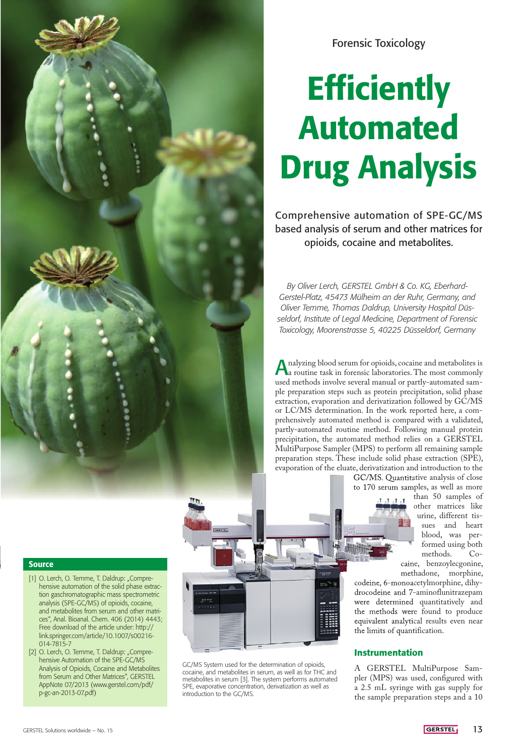

Forensic Toxicology

# **Efficiently** Automated Drug Analysis

Comprehensive automation of SPE-GC/MS based analysis of serum and other matrices for opioids, cocaine and metabolites.

*By Oliver Lerch, GERSTEL GmbH & Co. KG, Eberhard-Gerstel-Platz, 45473 Mülheim an der Ruhr, Germany, and Oliver Temme, Thomas Daldrup, University Hospital Düsseldorf, Institute of Legal Medicine, Department of Forensic Toxicology, Moorenstrasse 5, 40225 Düsseldorf, Germany*

nalyzing blood serum for opioids, cocaine and metabolites is a routine task in forensic laboratories. The most commonly used methods involve several manual or partly-automated sample preparation steps such as protein precipitation, solid phase extraction, evaporation and derivatization followed by GC/MS or LC/MS determination. In the work reported here, a comprehensively automated method is compared with a validated, partly-automated routine method. Following manual protein precipitation, the automated method relies on a GERSTEL MultiPurpose Sampler (MPS) to perform all remaining sample preparation steps. These include solid phase extraction (SPE), evaporation of the eluate, derivatization and introduction to the

> GC/MS. Quantitative analysis of close to 170 serum samples, as well as more

> > $T_{\rm A}$   $T_{\rm A}$   $T_{\rm A}$   $T_{\rm A}$

than 50 samples of other matrices like urine, different tissues and heart blood, was performed using both<br>methods. Comethods. caine, benzoylecgonine,

methadone, morphine, codeine, 6-monoacetylmorphine, dihydrocodeine and 7-aminoflunitrazepam were determined quantitatively and the methods were found to produce equivalent analytical results even near the limits of quantification.

# Instrumentation

GC/MS System used for the determination of opioids, cocaine, and metabolites in serum, as well as for THC and metabolites in serum [3]. The system performs automated SPE, evaporative concentration, derivatization as well as

introduction to the GC/MS.

A GERSTEL MultiPurpose Sampler (MPS) was used, configured with a 2.5 mL syringe with gas supply for the sample preparation steps and a 10

## **Source**

- [1] O. Lerch, O. Temme, T. Daldrup: "Comprehensive automation of the solid phase extraction gaschromatographic mass spectrometric analysis (SPE-GC/MS) of opioids, cocaine, and metabolites from serum and other matrices", Anal. Bioanal. Chem. 406 (2014) 4443; Free download of the article under: http:// link.springer.com/article/10.1007/s00216- 014-7815-7
- [2] O. Lerch, O. Temme, T. Daldrup: "Comprehensive Automation of the SPE-GC/MS Analysis of Opioids, Cocaine and Metabolites from Serum and Other Matrices", GERSTEL AppNote 07/2013 (www.gerstel.com/pdf/ p-gc-an-2013-07.pdf)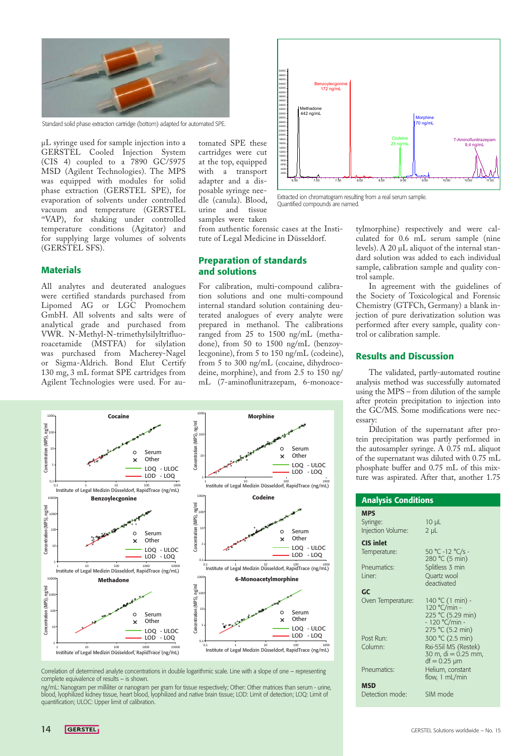

Standard solid phase extraction cartridge (bottom) adapted for automated SPE.

µL syringe used for sample injection into a GERSTEL Cooled Injection System (CIS 4) coupled to a 7890 GC/5975 MSD (Agilent Technologies). The MPS was equipped with modules for solid phase extraction (GERSTEL SPE), for evaporation of solvents under controlled vacuum and temperature (GERSTEL *<sup>m</sup>*VAP), for shaking under controlled temperature conditions (Agitator) and for supplying large volumes of solvents (GERSTEL SFS).

tomated SPE these cartridges were cut at the top, equipped with a transport adapter and a disposable syringe needle (canula). Blood, urine and tissue samples were taken



Extracted ion chromatogram resulting from a real serum sample.<br>Quantified compounds are named. Quantified compounds are named.

from authentic forensic cases at the Institute of Legal Medicine in Düsseldorf.

## **Materials**

All analytes and deuterated analogues were certified standards purchased from Lipomed AG or LGC Promochem GmbH. All solvents and salts were of analytical grade and purchased from VWR. N-Methyl-N-trimethylsilyltrifluoroacetamide (MSTFA) for silylation was purchased from Macherey-Nagel or Sigma-Aldrich. Bond Elut Certify 130 mg, 3 mL format SPE cartridges from Agilent Technologies were used. For au-

## Preparation of standards and solutions

For calibration, multi-compound calibration solutions and one multi-compound internal standard solution containing deuterated analogues of every analyte were prepared in methanol. The calibrations ranged from 25 to 1500 ng/mL (methadone), from 50 to 1500 ng/mL (benzoylecgonine), from 5 to 150 ng/mL (codeine), from 5 to 300 ng/mL (cocaine, dihydrocodeine, morphine), and from 2.5 to 150 ng/ mL (7-aminoflunitrazepam, 6-monoace-



complete equivalence of results  $-$  is shown.

ng/mL: Nanogram per milliliter or nanogram per gram for tissue respectively; Other: Other matrices than serum - urine, blood, lyophilized kidney tissue, heart blood, lyophilized and native brain tissue; LOD: Limit of detection; LOQ: Limit of quantification; ULOC: Upper limit of calibration.

tylmorphine) respectively and were calculated for 0.6 mL serum sample (nine levels). A 20  $\mu$ L aliquot of the internal standard solution was added to each individual sample, calibration sample and quality control sample.

In agreement with the guidelines of the Society of Toxicological and Forensic Chemistry (GTFCh, Germany) a blank injection of pure derivatization solution was performed after every sample, quality control or calibration sample.

### Results and Discussion

The validated, partly-automated routine analysis method was successfully automated using the MPS – from dilution of the sample after protein precipitation to injection into the GC/MS. Some modifications were necessary:

Dilution of the supernatant after protein precipitation was partly performed in the autosampler syringe. A 0.75 mL aliquot of the supernatant was diluted with 0.75 mL phosphate buffer and 0.75 mL of this mixture was aspirated. After that, another 1.75

| <b>Analysis Conditions</b>                  |                                                                                             |
|---------------------------------------------|---------------------------------------------------------------------------------------------|
| <b>MPS</b><br>Syringe:<br>Injection Volume: | $10 \mu L$<br>$2 \mu L$                                                                     |
| CIS inlet<br>Temperature:                   | 50 °C -12 °C/s -<br>280 °C (5 min)                                                          |
| Pneumatics:<br>I iner                       | Splitless 3 min<br>Quartz wool<br>deactivated                                               |
| GC<br>Oven Temperature:                     | 140 °C (1 min) -<br>120 °C/min -<br>225 °C (5.29 min)<br>- 120 °C/min -<br>275 °C (5.2 min) |
| Post Run <sup>.</sup><br>Column:            | 300 °C (2.5 min)<br>Rxi-5Sil MS (Restek)<br>30 m, $di = 0.25$ mm,<br>$df = 0.25 \mu m$      |
| Pneumatics:                                 | Helium, constant<br>flow, 1 mL/min                                                          |
| <b>MSD</b><br>Detection mode:               | SIM mode                                                                                    |